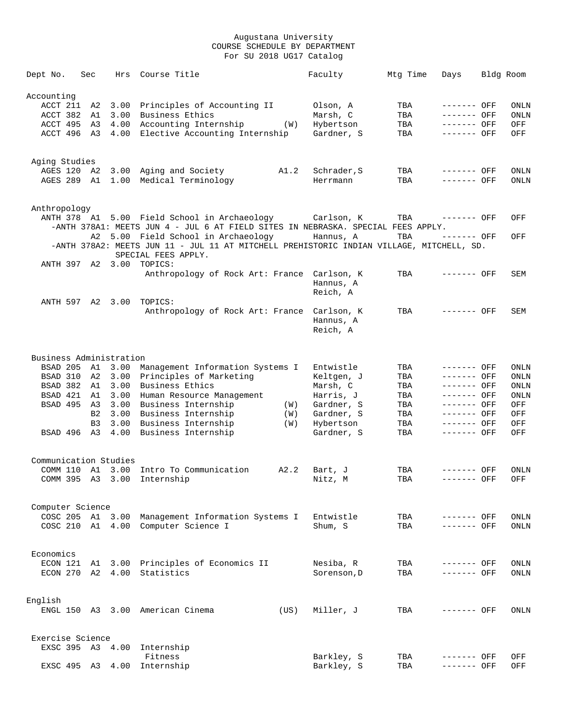| Dept No.                |             | Sec            | Hrs              | Course Title                                                                                                                 | Faculty               | Mtg Time   | Days        | Bldg Room           |
|-------------------------|-------------|----------------|------------------|------------------------------------------------------------------------------------------------------------------------------|-----------------------|------------|-------------|---------------------|
| Accounting              |             |                |                  |                                                                                                                              |                       |            |             |                     |
|                         | ACCT 211 A2 |                | 3.00             | Principles of Accounting II                                                                                                  | Olson, A              | TBA        | ------- OFF | ONLN                |
| ACCT 382                |             | A1             | 3.00             | Business Ethics                                                                                                              | Marsh, C              | TBA        | ------- OFF | ONLN                |
|                         | ACCT 495 A3 |                | 4.00             | Accounting Internship<br>(W)                                                                                                 | Hybertson             | TBA        | ------- OFF | OFF                 |
|                         | ACCT 496 A3 |                | 4.00             | Elective Accounting Internship                                                                                               | Gardner, S            | TBA        | ------- OFF | OFF                 |
| Aging Studies           |             |                |                  |                                                                                                                              |                       |            |             |                     |
|                         | AGES 120 A2 |                | 3.00             | A1.2<br>Aging and Society                                                                                                    | Schrader, S           | TBA        | ------- OFF | $\mathop{\rm ONLN}$ |
|                         | AGES 289 A1 |                | 1.00             | Medical Terminology                                                                                                          | Herrmann              | TBA        | ------- OFF | ONLN                |
| Anthropology            |             |                |                  |                                                                                                                              |                       |            |             |                     |
|                         |             |                |                  | ANTH 378 A1 5.00 Field School in Archaeology       Carlson, K                                                                |                       | TBA        | ------- OFF | OFF                 |
|                         |             |                |                  | -ANTH 378A1: MEETS JUN 4 - JUL 6 AT FIELD SITES IN NEBRASKA. SPECIAL FEES APPLY.                                             |                       |            |             |                     |
|                         |             | A2             |                  | 5.00 Field School in Archaeology<br>-ANTH 378A2: MEETS JUN 11 - JUL 11 AT MITCHELL PREHISTORIC INDIAN VILLAGE, MITCHELL, SD. | Hannus, A             | TBA        | ------- OFF | OFF                 |
|                         |             |                | ANTH 397 A2 3.00 | SPECIAL FEES APPLY.<br>TOPICS:                                                                                               |                       |            |             |                     |
|                         |             |                |                  | Anthropology of Rock Art: France Carlson, K                                                                                  | Hannus, A<br>Reich, A | TBA        | ------- OFF | SEM                 |
|                         |             |                | ANTH 597 A2 3.00 | TOPICS:                                                                                                                      |                       |            |             |                     |
|                         |             |                |                  | Anthropology of Rock Art: France Carlson, K                                                                                  | Hannus, A<br>Reich, A | TBA        | ------- OFF | SEM                 |
| Business Administration |             |                |                  |                                                                                                                              |                       |            |             |                     |
|                         | BSAD 205 A1 |                | 3.00             | Management Information Systems I                                                                                             | Entwistle             | TBA        | ------- OFF | ONLN                |
|                         | BSAD 310    | A2             | 3.00             | Principles of Marketing                                                                                                      | Keltgen, J            | TBA        | ------- OFF | ONLN                |
|                         | BSAD 382 A1 |                | 3.00             | Business Ethics                                                                                                              | Marsh, C              | TBA        | ------- OFF | ONLN                |
| BSAD 421                |             | A1             | 3.00             | Human Resource Management                                                                                                    | Harris, J             | TBA        | ------- OFF | ONLN                |
| BSAD 495                |             | A3             | 3.00             | Business Internship<br>(W)                                                                                                   | Gardner, S            | TBA        | ------- OFF | OFF                 |
|                         |             | B <sub>2</sub> | 3.00             | Business Internship<br>(W)                                                                                                   | Gardner, S            | TBA        | ------- OFF | OFF                 |
|                         |             | B <sub>3</sub> | 3.00             | Business Internship<br>(W)                                                                                                   | Hybertson             | TBA        | ------- OFF | OFF                 |
|                         | BSAD 496 A3 |                | 4.00             | Business Internship                                                                                                          | Gardner, S            | TBA        | ------- OFF | OFF                 |
| Communication Studies   |             |                |                  |                                                                                                                              |                       |            |             |                     |
|                         |             |                |                  | COMM 110 A1 3.00 Intro To Communication<br>A2.2<br>COMM 395 A3 3.00 Internship                                               | Bart, J               | TBA<br>TBA | ------- OFF | ONLN<br>OFF         |
|                         |             |                |                  |                                                                                                                              | Nitz, M               |            | ------- OFF |                     |
| Computer Science        | COSC 205 A1 |                | 3.00             | Management Information Systems I                                                                                             | Entwistle             | TBA        | ------- OFF | ONLN                |
|                         | COSC 210 A1 |                |                  | 4.00 Computer Science I                                                                                                      | Shum, S               | TBA        | ------- OFF | ONLN                |
| Economics               |             |                |                  |                                                                                                                              |                       |            |             |                     |
| ECON 121                |             |                |                  | A1 3.00 Principles of Economics II                                                                                           | Nesiba, R             | TBA        | ------- OFF | ONLN                |
| ECON 270                |             | A2             | 4.00             | Statistics                                                                                                                   | Sorenson, D           | TBA        | ------- OFF | ONLN                |
| English                 |             |                |                  |                                                                                                                              |                       |            |             |                     |
|                         | ENGL 150 A3 |                |                  | 3.00 American Cinema<br>(US)                                                                                                 | Miller, J             | TBA        | ------- OFF | ONLN                |
| Exercise Science        |             |                |                  |                                                                                                                              |                       |            |             |                     |
|                         |             |                | EXSC 395 A3 4.00 | Internship                                                                                                                   |                       |            |             |                     |
|                         |             |                |                  | Fitness                                                                                                                      | Barkley, S            | TBA        | ------- OFF | OFF                 |
|                         | EXSC 495 A3 |                | 4.00             | Internship                                                                                                                   | Barkley, S            | TBA        | ------- OFF | OFF                 |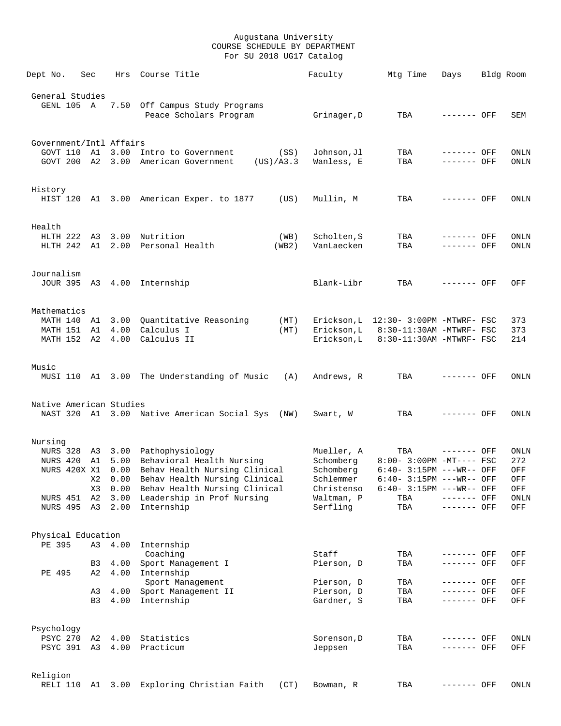| Dept No.                            | Sec | Hrs             | Course Title                                             | Faculty                  | Mtg Time                              | Days                       | Bldg Room   |
|-------------------------------------|-----|-----------------|----------------------------------------------------------|--------------------------|---------------------------------------|----------------------------|-------------|
| General Studies<br>GENL 105 A       |     |                 | 7.50 Off Campus Study Programs<br>Peace Scholars Program | Grinager, D              | TBA                                   | ------- OFF                | SEM         |
| Government/Intl Affairs<br>GOVT 110 | A1  | 3.00            | Intro to Government<br>(SS)                              | Johnson, Jl              | TBA                                   | ------- OFF                | <b>ONLN</b> |
|                                     |     |                 | GOVT 200 A2 3.00 American Government<br>(US)/A3.3        | Wanless, E               | TBA                                   | ------- OFF                | ONLN        |
| History                             |     |                 |                                                          |                          |                                       |                            |             |
|                                     |     |                 | HIST 120 A1 3.00 American Exper. to 1877<br>(US)         | Mullin, M                | TBA                                   | ------- OFF                | ONLN        |
| Health                              |     |                 |                                                          |                          |                                       |                            |             |
|                                     |     |                 | HLTH 222 A3 3.00 Nutrition<br>(WB)                       | Scholten, S              | TBA                                   | ------- OFF                | ONLN        |
| HLTH 242 A1                         |     |                 | 2.00 Personal Health<br>(WB2)                            | VanLaecken               | TBA                                   | ------- OFF                | ONLN        |
| Journalism                          |     |                 |                                                          |                          |                                       |                            |             |
|                                     |     |                 | JOUR 395 A3 4.00 Internship                              | Blank-Libr               | TBA                                   | ------- OFF                | OFF         |
| Mathematics                         |     |                 |                                                          |                          |                                       |                            |             |
| MATH 140 A1                         |     |                 | 3.00 Quantitative Reasoning<br>(MT)                      |                          | Erickson, L 12:30- 3:00PM -MTWRF- FSC |                            | 373         |
| MATH 151 A1                         |     | 4.00            | Calculus I<br>(MT)                                       | Erickson, L              | 8:30-11:30AM -MTWRF- FSC              |                            | 373         |
| MATH 152 A2 4.00                    |     |                 | Calculus II                                              | Erickson,L               | 8:30-11:30AM -MTWRF- FSC              |                            | 214         |
| Music                               |     |                 |                                                          |                          |                                       |                            |             |
|                                     |     |                 | MUSI 110 A1 3.00 The Understanding of Music<br>(A)       | Andrews, R               | TBA                                   | ------- OFF                | ONLN        |
| Native American Studies             |     |                 |                                                          |                          |                                       |                            |             |
|                                     |     |                 | NAST 320 A1 3.00 Native American Social Sys (NW)         | Swart, W                 | TBA                                   | ------- OFF                | ONLN        |
| Nursing                             |     |                 |                                                          |                          |                                       |                            |             |
|                                     |     |                 | NURS 328 A3 3.00 Pathophysiology                         | Mueller, A               | TBA                                   | ------- OFF                | ONLN        |
|                                     |     |                 | NURS 420 A1 5.00 Behavioral Health Nursing               | Schomberg                | $8:00 - 3:00PM -MT--- FSC$            |                            | 272         |
|                                     |     |                 | NURS 420X X1 0.00 Behav Health Nursing Clinical          | Schomberg                | $6:40-3:15PM$ ---WR-- OFF             |                            | OFF         |
|                                     |     |                 | X2 0.00 Behav Health Nursing Clinical                    | Schlemmer                | 6:40- 3:15PM ---WR-- OFF              |                            | OFF         |
|                                     | X3  |                 | 0.00 Behav Health Nursing Clinical                       | Christenso               | $6:40-3:15PM$ ---WR-- OFF             |                            | OFF         |
| NURS 451                            | A2  |                 | 3.00 Leadership in Prof Nursing                          | Waltman, P               | TBA                                   | ------- OFF                | ONLN        |
|                                     |     |                 | NURS 495 A3 2.00 Internship                              | Serfling                 | TBA                                   | ------- OFF                | OFF         |
| Physical Education                  |     |                 |                                                          |                          |                                       |                            |             |
| PE 395                              |     | A3 4.00         | Internship                                               |                          |                                       |                            |             |
|                                     |     |                 | Coaching                                                 | Staff                    | TBA                                   | ------- OFF                | OFF         |
| PE 495                              | B3  | 4.00<br>A2 4.00 | Sport Management I<br>Internship                         | Pierson, D               | TBA                                   | ------- OFF                | OFF         |
|                                     |     |                 | Sport Management                                         | Pierson, D               | TBA                                   | ------- OFF                | OFF         |
|                                     |     |                 | A3 4.00 Sport Management II<br>B3 4.00 Internship        | Pierson, D<br>Gardner, S | TBA<br>TBA                            | ------- OFF<br>------- OFF | OFF<br>OFF  |
|                                     |     |                 |                                                          |                          |                                       |                            |             |
| Psychology                          |     |                 | PSYC 270 A2 4.00 Statistics                              | Sorenson, D              | TBA                                   | ------- OFF                | ONLN        |
|                                     |     |                 | PSYC 391 A3 4.00 Practicum                               | Jeppsen                  | TBA                                   | ------- OFF                | OFF         |
|                                     |     |                 |                                                          |                          |                                       |                            |             |
| Religion                            |     |                 |                                                          |                          |                                       |                            |             |
| RELI 110                            | A1  | 3.00            | Exploring Christian Faith<br>(CT)                        | Bowman, R                | TBA                                   | ------- OFF                | ONLN        |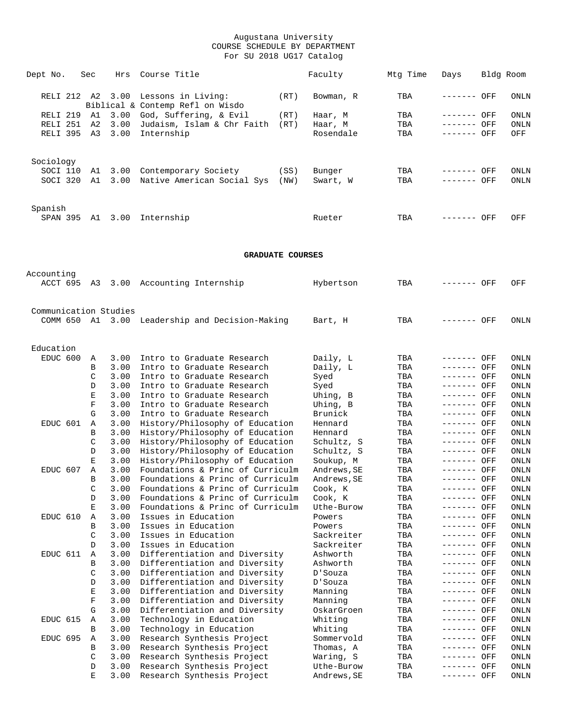| Dept No.              | Sec      | Hrs          | Course Title                                                            |              | Faculty                  | Mtg Time   | Days                       | Bldg Room                   |
|-----------------------|----------|--------------|-------------------------------------------------------------------------|--------------|--------------------------|------------|----------------------------|-----------------------------|
|                       |          |              | RELI 212 A2 3.00 Lessons in Living:<br>Biblical & Contemp Refl on Wisdo | (RT)         | Bowman, R                | TBA        | ------- OFF                | ONLN                        |
| RELI 219 A1           |          | 3.00         | God, Suffering, & Evil                                                  | (RT)         | Haar, M                  | TBA        | ------- OFF                | ONLN                        |
| RELI 251              | A2       | 3.00         | Judaism, Islam & Chr Faith                                              | (RT)         | Haar, M                  | TBA        | ------- OFF                | ONLN                        |
| RELI 395 A3           |          | 3.00         | Internship                                                              |              | Rosendale                | TBA        | ------- OFF                | OFF                         |
| Sociology             |          |              |                                                                         |              |                          |            |                            |                             |
| SOCI 110<br>SOCI 320  | A1<br>A1 |              | 3.00 Contemporary Society<br>3.00 Native American Social Sys            | (SS)<br>(NW) | Bunger<br>Swart, W       | TBA<br>TBA | ------- OFF<br>------- OFF | ONLN<br>ONLN                |
| Spanish               |          |              | SPAN 395 A1 3.00 Internship                                             |              | Rueter                   | TBA        | ------- OFF                | OFF                         |
|                       |          |              |                                                                         |              |                          |            |                            |                             |
|                       |          |              | <b>GRADUATE COURSES</b>                                                 |              |                          |            |                            |                             |
| Accounting            |          |              | ACCT 695 A3 3.00 Accounting Internship                                  |              | Hybertson                | TBA        | ------- OFF                | OFF                         |
| Communication Studies |          |              | COMM 650 Al 3.00 Leadership and Decision-Making                         |              | Bart, H                  | TBA        | ------- OFF                | ONLN                        |
| Education             |          |              |                                                                         |              |                          |            |                            |                             |
| EDUC 600              | Α        | 3.00         | Intro to Graduate Research                                              |              | Daily, L                 | TBA        | ------- OFF                | ONLN                        |
|                       | B        | 3.00         | Intro to Graduate Research                                              |              | Daily, L                 | TBA        | ------- OFF                | ONLN                        |
|                       | C<br>D   | 3.00<br>3.00 | Intro to Graduate Research<br>Intro to Graduate Research                |              | Syed                     | TBA<br>TBA | ------- OFF<br>------- OFF | ONLN<br>ONLN                |
|                       | Е        | 3.00         | Intro to Graduate Research                                              |              | Syed<br>Uhing, B         | TBA        | ------- OFF                | ONLN                        |
|                       | F        | 3.00         | Intro to Graduate Research                                              |              | Uhing, B                 | TBA        | ------- OFF                | ONLN                        |
|                       | G        | 3.00         | Intro to Graduate Research                                              |              | Brunick                  | TBA        | ------- OFF                | ONLN                        |
| EDUC 601              | Α        | 3.00         | History/Philosophy of Education                                         |              | Hennard                  | TBA        | ------- OFF                | ONLN                        |
|                       | В        | 3.00         | History/Philosophy of Education                                         |              | Hennard                  | TBA        | ------- OFF                | ONLN                        |
|                       | C<br>D   | 3.00<br>3.00 | History/Philosophy of Education<br>History/Philosophy of Education      |              | Schultz, S<br>Schultz, S | TBA<br>TBA | ------- OFF<br>------- OFF | ONLN<br>ONLN                |
|                       | Е        | 3.00         | History/Philosophy of Education                                         |              | Soukup, M                | TBA        | ------- OFF                | ONLN                        |
| EDUC 607              | Α        | 3.00         | Foundations & Princ of Curriculm                                        |              | Andrews, SE              | TBA        | ------- OFF                | ONLN                        |
|                       |          |              | 3.00 Foundations & Princ of Curriculm                                   |              | Andrews, SE              | TBA        | ------- OFF                | $\mathop{\rm ONLN}$         |
|                       | C        | 3.00         | Foundations & Princ of Curriculm                                        |              | Cook, K                  | TBA        | ------- OFF                | ONLN                        |
|                       | D        | 3.00         | Foundations & Princ of Curriculm                                        |              | Cook, K                  | TBA        | ------- OFF                | ONLN                        |
|                       | Е        | 3.00         | Foundations & Princ of Curriculm<br>Issues in Education                 |              | Uthe-Burow               | TBA        | ------- OFF                | ONLN                        |
| EDUC 610              | Α<br>В   | 3.00<br>3.00 | Issues in Education                                                     |              | Powers<br>Powers         | TBA<br>TBA | ------- OFF<br>------- OFF | ONLN<br>ONLN                |
|                       | C        | 3.00         | Issues in Education                                                     |              | Sackreiter               | TBA        | ------- OFF                | ONLN                        |
|                       | D        | 3.00         | Issues in Education                                                     |              | Sackreiter               | TBA        | ------- OFF                | ONLN                        |
| EDUC 611              | Α        | 3.00         | Differentiation and Diversity                                           |              | Ashworth                 | TBA        | ------- OFF                | ONLN                        |
|                       | В        | 3.00         | Differentiation and Diversity                                           |              | Ashworth                 | TBA        | ------- OFF                | ONLN                        |
|                       | C        | 3.00         | Differentiation and Diversity                                           |              | D'Souza                  | TBA        | ------- OFF                | ONLN                        |
|                       | D        | 3.00         | Differentiation and Diversity                                           |              | D'Souza                  | TBA        | ------- OFF                | $\mathop{\rm ONLN}$         |
|                       | Е<br>F   | 3.00<br>3.00 | Differentiation and Diversity<br>Differentiation and Diversity          |              | Manning<br>Manning       | TBA<br>TBA | ------- OFF<br>------- OFF | ONLN<br>$\mathop{\rm ONLN}$ |
|                       | G        | 3.00         | Differentiation and Diversity                                           |              | OskarGroen               | TBA        | ------- OFF                | ONLN                        |
| EDUC 615              | Α        | 3.00         | Technology in Education                                                 |              | Whiting                  | TBA        | ------- OFF                | ONLN                        |
|                       | В        | 3.00         | Technology in Education                                                 |              | Whiting                  | TBA        | ------- OFF                | ONLN                        |
| EDUC 695              | Α        | 3.00         | Research Synthesis Project                                              |              | Sommervold               | TBA        | ------- OFF                | ONLN                        |
|                       | В        | 3.00         | Research Synthesis Project                                              |              | Thomas, A                | TBA        | ------- OFF                | ONLN                        |
|                       | C        | 3.00         | Research Synthesis Project                                              |              | Waring, S                | TBA        | ------- OFF                | ONLN                        |
|                       | D        | 3.00         | Research Synthesis Project                                              |              | Uthe-Burow               | TBA        | ------- OFF                | ONLN                        |
|                       | E        | 3.00         | Research Synthesis Project                                              |              | Andrews, SE              | TBA        | ------- OFF                | $\mathop{\rm ONLN}$         |